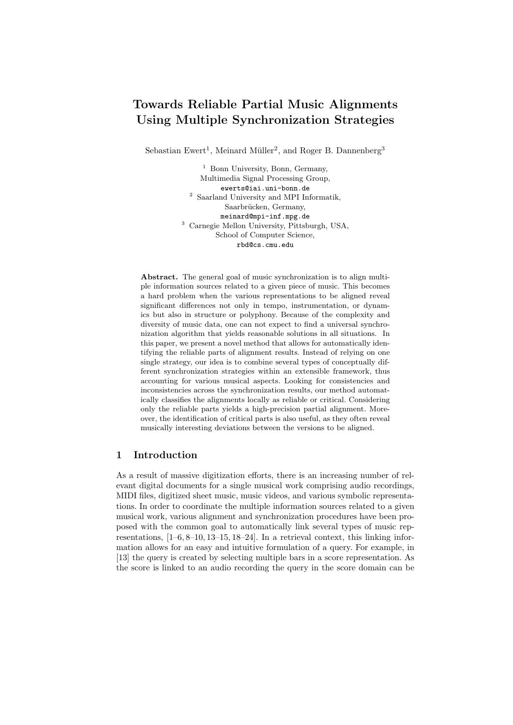# Towards Reliable Partial Music Alignments Using Multiple Synchronization Strategies

Sebastian Ewert<sup>1</sup>, Meinard Müller<sup>2</sup>, and Roger B. Dannenberg<sup>3</sup>

<sup>1</sup> Bonn University, Bonn, Germany, Multimedia Signal Processing Group, ewerts@iai.uni-bonn.de  $^{\rm 2}$  Saarland University and MPI Informatik, Saarbrücken, Germany, meinard@mpi-inf.mpg.de <sup>3</sup> Carnegie Mellon University, Pittsburgh, USA, School of Computer Science, rbd@cs.cmu.edu

Abstract. The general goal of music synchronization is to align multiple information sources related to a given piece of music. This becomes a hard problem when the various representations to be aligned reveal significant differences not only in tempo, instrumentation, or dynamics but also in structure or polyphony. Because of the complexity and diversity of music data, one can not expect to find a universal synchronization algorithm that yields reasonable solutions in all situations. In this paper, we present a novel method that allows for automatically identifying the reliable parts of alignment results. Instead of relying on one single strategy, our idea is to combine several types of conceptually different synchronization strategies within an extensible framework, thus accounting for various musical aspects. Looking for consistencies and inconsistencies across the synchronization results, our method automatically classifies the alignments locally as reliable or critical. Considering only the reliable parts yields a high-precision partial alignment. Moreover, the identification of critical parts is also useful, as they often reveal musically interesting deviations between the versions to be aligned.

### 1 Introduction

As a result of massive digitization efforts, there is an increasing number of relevant digital documents for a single musical work comprising audio recordings, MIDI files, digitized sheet music, music videos, and various symbolic representations. In order to coordinate the multiple information sources related to a given musical work, various alignment and synchronization procedures have been proposed with the common goal to automatically link several types of music representations, [1–6, 8–10, 13–15, 18–24]. In a retrieval context, this linking information allows for an easy and intuitive formulation of a query. For example, in [13] the query is created by selecting multiple bars in a score representation. As the score is linked to an audio recording the query in the score domain can be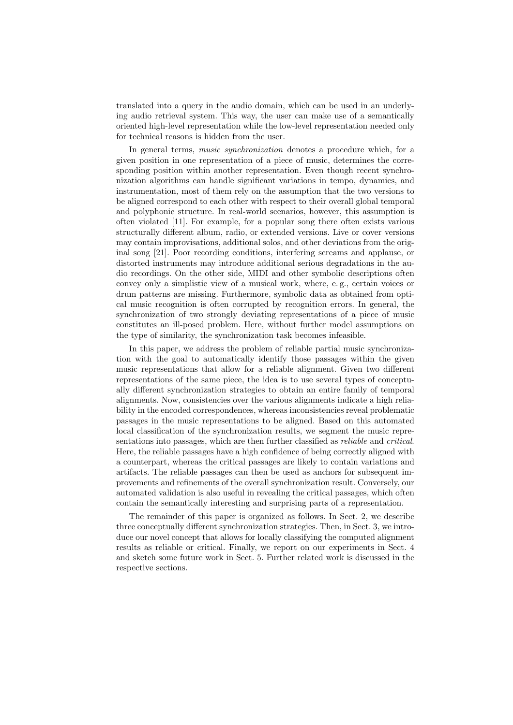translated into a query in the audio domain, which can be used in an underlying audio retrieval system. This way, the user can make use of a semantically oriented high-level representation while the low-level representation needed only for technical reasons is hidden from the user.

In general terms, *music synchronization* denotes a procedure which, for a given position in one representation of a piece of music, determines the corresponding position within another representation. Even though recent synchronization algorithms can handle significant variations in tempo, dynamics, and instrumentation, most of them rely on the assumption that the two versions to be aligned correspond to each other with respect to their overall global temporal and polyphonic structure. In real-world scenarios, however, this assumption is often violated [11]. For example, for a popular song there often exists various structurally different album, radio, or extended versions. Live or cover versions may contain improvisations, additional solos, and other deviations from the original song [21]. Poor recording conditions, interfering screams and applause, or distorted instruments may introduce additional serious degradations in the audio recordings. On the other side, MIDI and other symbolic descriptions often convey only a simplistic view of a musical work, where, e. g., certain voices or drum patterns are missing. Furthermore, symbolic data as obtained from optical music recognition is often corrupted by recognition errors. In general, the synchronization of two strongly deviating representations of a piece of music constitutes an ill-posed problem. Here, without further model assumptions on the type of similarity, the synchronization task becomes infeasible.

In this paper, we address the problem of reliable partial music synchronization with the goal to automatically identify those passages within the given music representations that allow for a reliable alignment. Given two different representations of the same piece, the idea is to use several types of conceptually different synchronization strategies to obtain an entire family of temporal alignments. Now, consistencies over the various alignments indicate a high reliability in the encoded correspondences, whereas inconsistencies reveal problematic passages in the music representations to be aligned. Based on this automated local classification of the synchronization results, we segment the music representations into passages, which are then further classified as reliable and critical. Here, the reliable passages have a high confidence of being correctly aligned with a counterpart, whereas the critical passages are likely to contain variations and artifacts. The reliable passages can then be used as anchors for subsequent improvements and refinements of the overall synchronization result. Conversely, our automated validation is also useful in revealing the critical passages, which often contain the semantically interesting and surprising parts of a representation.

The remainder of this paper is organized as follows. In Sect. 2, we describe three conceptually different synchronization strategies. Then, in Sect. 3, we introduce our novel concept that allows for locally classifying the computed alignment results as reliable or critical. Finally, we report on our experiments in Sect. 4 and sketch some future work in Sect. 5. Further related work is discussed in the respective sections.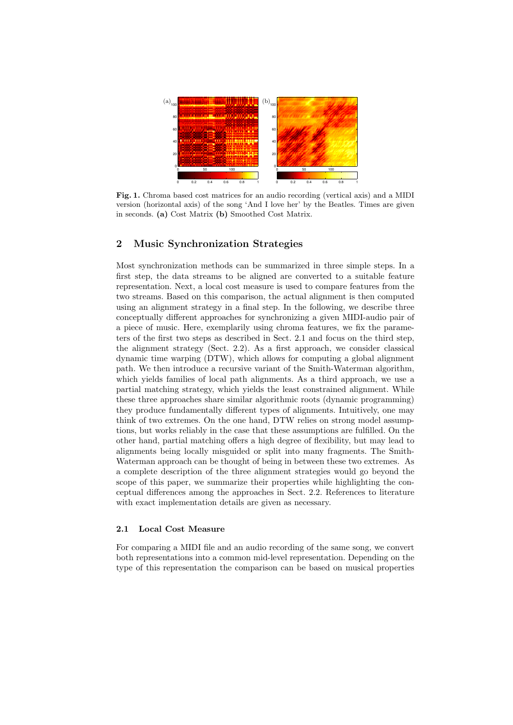

Fig. 1. Chroma based cost matrices for an audio recording (vertical axis) and a MIDI version (horizontal axis) of the song 'And I love her' by the Beatles. Times are given in seconds. (a) Cost Matrix (b) Smoothed Cost Matrix.

## 2 Music Synchronization Strategies

Most synchronization methods can be summarized in three simple steps. In a first step, the data streams to be aligned are converted to a suitable feature representation. Next, a local cost measure is used to compare features from the two streams. Based on this comparison, the actual alignment is then computed using an alignment strategy in a final step. In the following, we describe three conceptually different approaches for synchronizing a given MIDI-audio pair of a piece of music. Here, exemplarily using chroma features, we fix the parameters of the first two steps as described in Sect. 2.1 and focus on the third step, the alignment strategy (Sect. 2.2). As a first approach, we consider classical dynamic time warping (DTW), which allows for computing a global alignment path. We then introduce a recursive variant of the Smith-Waterman algorithm, which yields families of local path alignments. As a third approach, we use a partial matching strategy, which yields the least constrained alignment. While these three approaches share similar algorithmic roots (dynamic programming) they produce fundamentally different types of alignments. Intuitively, one may think of two extremes. On the one hand, DTW relies on strong model assumptions, but works reliably in the case that these assumptions are fulfilled. On the other hand, partial matching offers a high degree of flexibility, but may lead to alignments being locally misguided or split into many fragments. The Smith-Waterman approach can be thought of being in between these two extremes. As a complete description of the three alignment strategies would go beyond the scope of this paper, we summarize their properties while highlighting the conceptual differences among the approaches in Sect. 2.2. References to literature with exact implementation details are given as necessary.

### 2.1 Local Cost Measure

For comparing a MIDI file and an audio recording of the same song, we convert both representations into a common mid-level representation. Depending on the type of this representation the comparison can be based on musical properties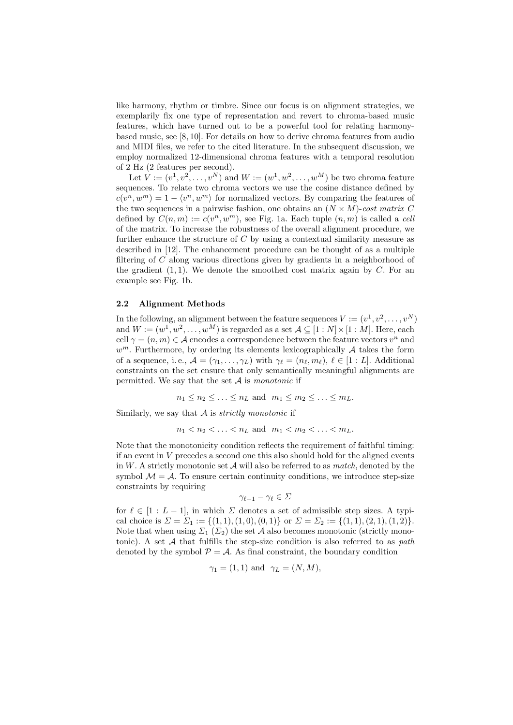like harmony, rhythm or timbre. Since our focus is on alignment strategies, we exemplarily fix one type of representation and revert to chroma-based music features, which have turned out to be a powerful tool for relating harmonybased music, see [8, 10]. For details on how to derive chroma features from audio and MIDI files, we refer to the cited literature. In the subsequent discussion, we employ normalized 12-dimensional chroma features with a temporal resolution of 2 Hz (2 features per second).

Let  $V := (v^1, v^2, \dots, v^N)$  and  $W := (w^1, w^2, \dots, w^M)$  be two chroma feature sequences. To relate two chroma vectors we use the cosine distance defined by  $c(v^n, w^m) = 1 - \langle v^n, w^m \rangle$  for normalized vectors. By comparing the features of the two sequences in a pairwise fashion, one obtains an  $(N \times M)$ -cost matrix C defined by  $C(n,m) := c(v^n, w^m)$ , see Fig. 1a. Each tuple  $(n,m)$  is called a cell of the matrix. To increase the robustness of the overall alignment procedure, we further enhance the structure of  $C$  by using a contextual similarity measure as described in [12]. The enhancement procedure can be thought of as a multiple filtering of  $C$  along various directions given by gradients in a neighborhood of the gradient  $(1, 1)$ . We denote the smoothed cost matrix again by C. For an example see Fig. 1b.

#### 2.2 Alignment Methods

In the following, an alignment between the feature sequences  $V := (v^1, v^2, \dots, v^N)$ and  $W := (w^1, w^2, \dots, w^M)$  is regarded as a set  $\mathcal{A} \subseteq [1:N] \times [1:M]$ . Here, each cell  $\gamma = (n, m) \in \mathcal{A}$  encodes a correspondence between the feature vectors  $v^n$  and  $w^m$ . Furthermore, by ordering its elements lexicographically  $A$  takes the form of a sequence, i.e.,  $A = (\gamma_1, \ldots, \gamma_L)$  with  $\gamma_\ell = (n_\ell, m_\ell), \ell \in [1 : L]$ . Additional constraints on the set ensure that only semantically meaningful alignments are permitted. We say that the set  $A$  is monotonic if

$$
n_1 \leq n_2 \leq \ldots \leq n_L
$$
 and  $m_1 \leq m_2 \leq \ldots \leq m_L$ .

Similarly, we say that  $A$  is *strictly monotonic* if

 $n_1 < n_2 < \ldots < n_L$  and  $m_1 < m_2 < \ldots < m_L$ .

Note that the monotonicity condition reflects the requirement of faithful timing: if an event in  $V$  precedes a second one this also should hold for the aligned events in  $W$ . A strictly monotonic set  $A$  will also be referred to as *match*, denoted by the symbol  $\mathcal{M} = \mathcal{A}$ . To ensure certain continuity conditions, we introduce step-size constraints by requiring

$$
\gamma_{\ell+1}-\gamma_\ell\in\varSigma
$$

for  $\ell \in [1 : L - 1]$ , in which  $\Sigma$  denotes a set of admissible step sizes. A typical choice is  $\Sigma = \Sigma_1 := \{(1, 1), (1, 0), (0, 1)\}$  or  $\Sigma = \Sigma_2 := \{(1, 1), (2, 1), (1, 2)\}.$ Note that when using  $\Sigma_1$  ( $\Sigma_2$ ) the set A also becomes monotonic (strictly monotonic). A set  $A$  that fulfills the step-size condition is also referred to as path denoted by the symbol  $P = A$ . As final constraint, the boundary condition

$$
\gamma_1 = (1, 1) \text{ and } \gamma_L = (N, M),
$$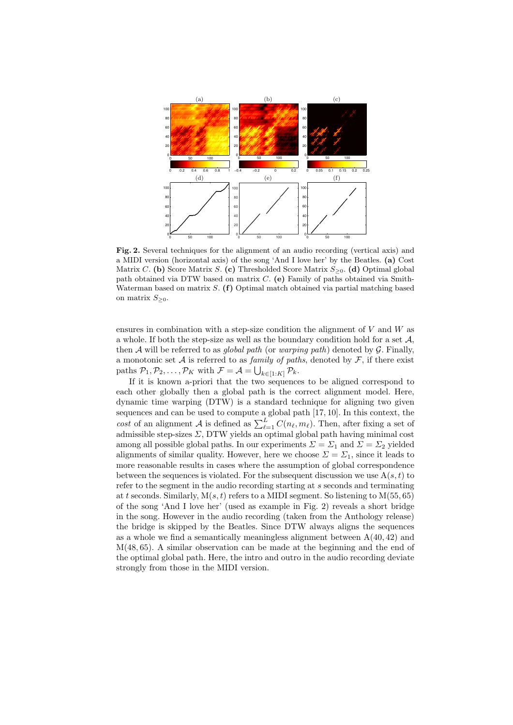

Fig. 2. Several techniques for the alignment of an audio recording (vertical axis) and a MIDI version (horizontal axis) of the song 'And I love her' by the Beatles. (a) Cost Matrix C. (b) Score Matrix S. (c) Thresholded Score Matrix  $S_{\geq 0}$ . (d) Optimal global path obtained via DTW based on matrix  $C$ . (e) Family of paths obtained via Smith-Waterman based on matrix  $S$ . (f) Optimal match obtained via partial matching based on matrix  $S_{\geq 0}$ .

ensures in combination with a step-size condition the alignment of  $V$  and  $W$  as a whole. If both the step-size as well as the boundary condition hold for a set  $A$ , then A will be referred to as global path (or warping path) denoted by  $\mathcal G$ . Finally, a monotonic set  $A$  is referred to as family of paths, denoted by  $\mathcal{F}$ , if there exist paths  $\mathcal{P}_1, \mathcal{P}_2, \ldots, \mathcal{P}_K$  with  $\mathcal{F} = \mathcal{A} = \bigcup_{k \in [1:K]} \mathcal{P}_k$ .

If it is known a-priori that the two sequences to be aligned correspond to each other globally then a global path is the correct alignment model. Here, dynamic time warping (DTW) is a standard technique for aligning two given sequences and can be used to compute a global path [17, 10]. In this context, the cost of an alignment A is defined as  $\sum_{\ell=1}^{L} C(n_{\ell}, m_{\ell})$ . Then, after fixing a set of admissible step-sizes  $\Sigma$ , DTW yields an optimal global path having minimal cost among all possible global paths. In our experiments  $\Sigma = \Sigma_1$  and  $\Sigma = \Sigma_2$  yielded alignments of similar quality. However, here we choose  $\Sigma = \Sigma_1$ , since it leads to more reasonable results in cases where the assumption of global correspondence between the sequences is violated. For the subsequent discussion we use  $A(s,t)$  to refer to the segment in the audio recording starting at  $s$  seconds and terminating at t seconds. Similarly,  $M(s, t)$  refers to a MIDI segment. So listening to  $M(55, 65)$ of the song 'And I love her' (used as example in Fig. 2) reveals a short bridge in the song. However in the audio recording (taken from the Anthology release) the bridge is skipped by the Beatles. Since DTW always aligns the sequences as a whole we find a semantically meaningless alignment between  $A(40, 42)$  and M(48, 65). A similar observation can be made at the beginning and the end of the optimal global path. Here, the intro and outro in the audio recording deviate strongly from those in the MIDI version.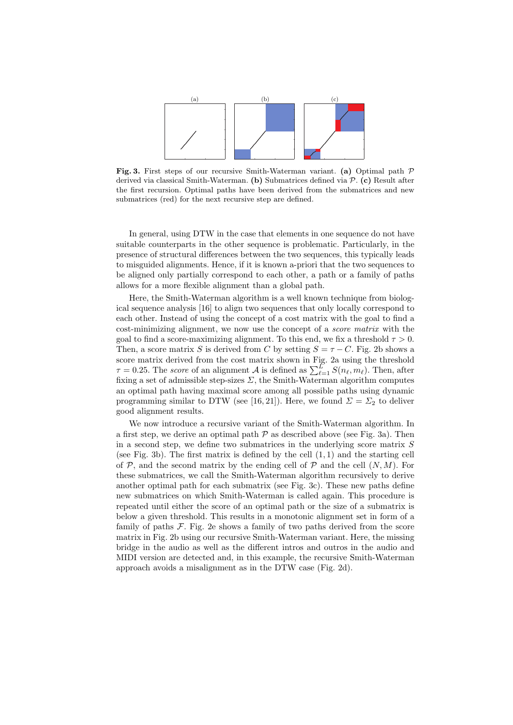

Fig. 3. First steps of our recursive Smith-Waterman variant. (a) Optimal path  $\mathcal P$ derived via classical Smith-Waterman. (b) Submatrices defined via  $P$ . (c) Result after the first recursion. Optimal paths have been derived from the submatrices and new submatrices (red) for the next recursive step are defined.

In general, using DTW in the case that elements in one sequence do not have suitable counterparts in the other sequence is problematic. Particularly, in the presence of structural differences between the two sequences, this typically leads to misguided alignments. Hence, if it is known a-priori that the two sequences to be aligned only partially correspond to each other, a path or a family of paths allows for a more flexible alignment than a global path.

Here, the Smith-Waterman algorithm is a well known technique from biological sequence analysis [16] to align two sequences that only locally correspond to each other. Instead of using the concept of a cost matrix with the goal to find a cost-minimizing alignment, we now use the concept of a score matrix with the goal to find a score-maximizing alignment. To this end, we fix a threshold  $\tau > 0$ . Then, a score matrix S is derived from C by setting  $S = \tau - C$ . Fig. 2b shows a score matrix derived from the cost matrix shown in Fig. 2a using the threshold  $\tau = 0.25$ . The *score* of an alignment  $\mathcal A$  is defined as  $\sum_{\ell=1}^L S(n_\ell, m_\ell)$ . Then, after fixing a set of admissible step-sizes  $\Sigma$ , the Smith-Waterman algorithm computes an optimal path having maximal score among all possible paths using dynamic programming similar to DTW (see [16, 21]). Here, we found  $\Sigma = \Sigma_2$  to deliver good alignment results.

We now introduce a recursive variant of the Smith-Waterman algorithm. In a first step, we derive an optimal path  $\mathcal P$  as described above (see Fig. 3a). Then in a second step, we define two submatrices in the underlying score matrix  $S$ (see Fig. 3b). The first matrix is defined by the cell  $(1, 1)$  and the starting cell of  $P$ , and the second matrix by the ending cell of  $P$  and the cell  $(N, M)$ . For these submatrices, we call the Smith-Waterman algorithm recursively to derive another optimal path for each submatrix (see Fig. 3c). These new paths define new submatrices on which Smith-Waterman is called again. This procedure is repeated until either the score of an optimal path or the size of a submatrix is below a given threshold. This results in a monotonic alignment set in form of a family of paths  $F$ . Fig. 2e shows a family of two paths derived from the score matrix in Fig. 2b using our recursive Smith-Waterman variant. Here, the missing bridge in the audio as well as the different intros and outros in the audio and MIDI version are detected and, in this example, the recursive Smith-Waterman approach avoids a misalignment as in the DTW case (Fig. 2d).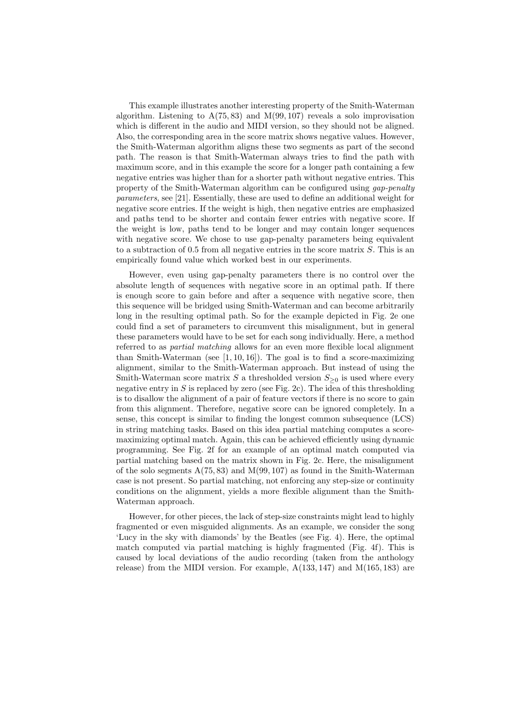This example illustrates another interesting property of the Smith-Waterman algorithm. Listening to  $A(75, 83)$  and  $M(99, 107)$  reveals a solo improvisation which is different in the audio and MIDI version, so they should not be aligned. Also, the corresponding area in the score matrix shows negative values. However, the Smith-Waterman algorithm aligns these two segments as part of the second path. The reason is that Smith-Waterman always tries to find the path with maximum score, and in this example the score for a longer path containing a few negative entries was higher than for a shorter path without negative entries. This property of the Smith-Waterman algorithm can be configured using gap-penalty parameters, see [21]. Essentially, these are used to define an additional weight for negative score entries. If the weight is high, then negative entries are emphasized and paths tend to be shorter and contain fewer entries with negative score. If the weight is low, paths tend to be longer and may contain longer sequences with negative score. We chose to use gap-penalty parameters being equivalent to a subtraction of 0.5 from all negative entries in the score matrix  $S$ . This is an empirically found value which worked best in our experiments.

However, even using gap-penalty parameters there is no control over the absolute length of sequences with negative score in an optimal path. If there is enough score to gain before and after a sequence with negative score, then this sequence will be bridged using Smith-Waterman and can become arbitrarily long in the resulting optimal path. So for the example depicted in Fig. 2e one could find a set of parameters to circumvent this misalignment, but in general these parameters would have to be set for each song individually. Here, a method referred to as partial matching allows for an even more flexible local alignment than Smith-Waterman (see  $[1, 10, 16]$ ). The goal is to find a score-maximizing alignment, similar to the Smith-Waterman approach. But instead of using the Smith-Waterman score matrix S a thresholded version  $S_{\geq 0}$  is used where every negative entry in  $S$  is replaced by zero (see Fig. 2c). The idea of this thresholding is to disallow the alignment of a pair of feature vectors if there is no score to gain from this alignment. Therefore, negative score can be ignored completely. In a sense, this concept is similar to finding the longest common subsequence (LCS) in string matching tasks. Based on this idea partial matching computes a scoremaximizing optimal match. Again, this can be achieved efficiently using dynamic programming. See Fig. 2f for an example of an optimal match computed via partial matching based on the matrix shown in Fig. 2c. Here, the misalignment of the solo segments  $A(75, 83)$  and  $M(99, 107)$  as found in the Smith-Waterman case is not present. So partial matching, not enforcing any step-size or continuity conditions on the alignment, yields a more flexible alignment than the Smith-Waterman approach.

However, for other pieces, the lack of step-size constraints might lead to highly fragmented or even misguided alignments. As an example, we consider the song 'Lucy in the sky with diamonds' by the Beatles (see Fig. 4). Here, the optimal match computed via partial matching is highly fragmented (Fig. 4f). This is caused by local deviations of the audio recording (taken from the anthology release) from the MIDI version. For example,  $A(133, 147)$  and  $M(165, 183)$  are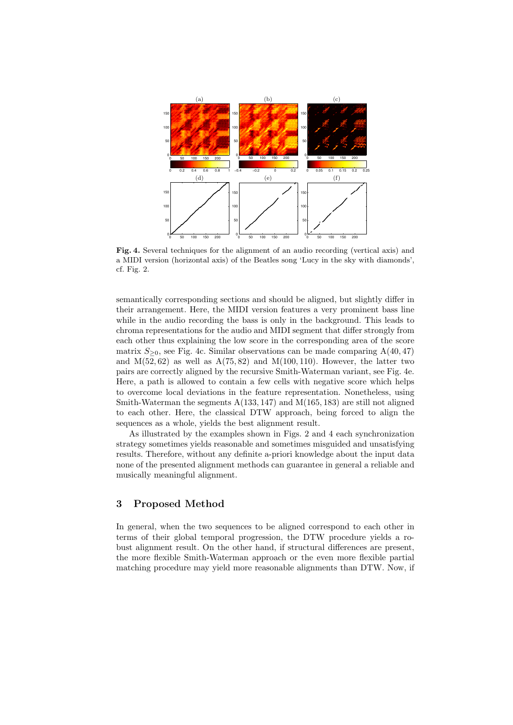

Fig. 4. Several techniques for the alignment of an audio recording (vertical axis) and a MIDI version (horizontal axis) of the Beatles song 'Lucy in the sky with diamonds', cf. Fig. 2.

semantically corresponding sections and should be aligned, but slightly differ in their arrangement. Here, the MIDI version features a very prominent bass line while in the audio recording the bass is only in the background. This leads to chroma representations for the audio and MIDI segment that differ strongly from each other thus explaining the low score in the corresponding area of the score matrix  $S_{\geq 0}$ , see Fig. 4c. Similar observations can be made comparing A(40, 47) and  $M(52, 62)$  as well as  $A(75, 82)$  and  $M(100, 110)$ . However, the latter two pairs are correctly aligned by the recursive Smith-Waterman variant, see Fig. 4e. Here, a path is allowed to contain a few cells with negative score which helps to overcome local deviations in the feature representation. Nonetheless, using Smith-Waterman the segments  $A(133, 147)$  and  $M(165, 183)$  are still not aligned to each other. Here, the classical DTW approach, being forced to align the sequences as a whole, yields the best alignment result.

As illustrated by the examples shown in Figs. 2 and 4 each synchronization strategy sometimes yields reasonable and sometimes misguided and unsatisfying results. Therefore, without any definite a-priori knowledge about the input data none of the presented alignment methods can guarantee in general a reliable and musically meaningful alignment.

### 3 Proposed Method

In general, when the two sequences to be aligned correspond to each other in terms of their global temporal progression, the DTW procedure yields a robust alignment result. On the other hand, if structural differences are present, the more flexible Smith-Waterman approach or the even more flexible partial matching procedure may yield more reasonable alignments than DTW. Now, if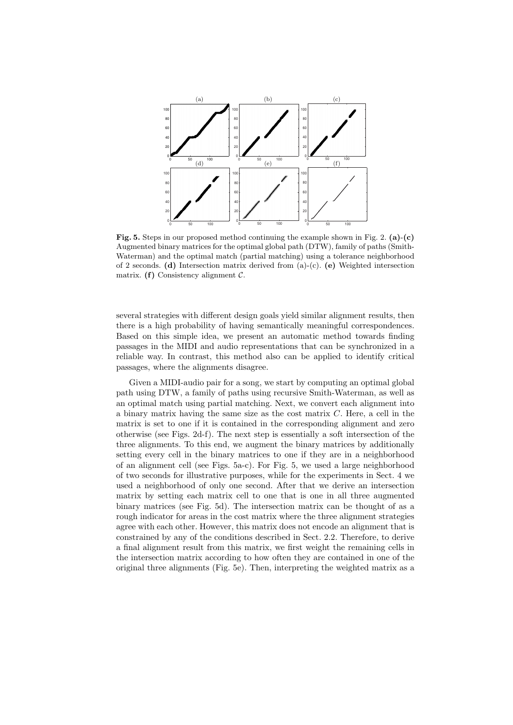

Fig. 5. Steps in our proposed method continuing the example shown in Fig. 2. (a)-(c) Augmented binary matrices for the optimal global path (DTW), family of paths (Smith-Waterman) and the optimal match (partial matching) using a tolerance neighborhood of 2 seconds. (d) Intersection matrix derived from (a)-(c). (e) Weighted intersection matrix. (f) Consistency alignment  $\mathcal{C}$ .

several strategies with different design goals yield similar alignment results, then there is a high probability of having semantically meaningful correspondences. Based on this simple idea, we present an automatic method towards finding passages in the MIDI and audio representations that can be synchronized in a reliable way. In contrast, this method also can be applied to identify critical passages, where the alignments disagree.

Given a MIDI-audio pair for a song, we start by computing an optimal global path using DTW, a family of paths using recursive Smith-Waterman, as well as an optimal match using partial matching. Next, we convert each alignment into a binary matrix having the same size as the cost matrix  $C$ . Here, a cell in the matrix is set to one if it is contained in the corresponding alignment and zero otherwise (see Figs. 2d-f). The next step is essentially a soft intersection of the three alignments. To this end, we augment the binary matrices by additionally setting every cell in the binary matrices to one if they are in a neighborhood of an alignment cell (see Figs. 5a-c). For Fig. 5, we used a large neighborhood of two seconds for illustrative purposes, while for the experiments in Sect. 4 we used a neighborhood of only one second. After that we derive an intersection matrix by setting each matrix cell to one that is one in all three augmented binary matrices (see Fig. 5d). The intersection matrix can be thought of as a rough indicator for areas in the cost matrix where the three alignment strategies agree with each other. However, this matrix does not encode an alignment that is constrained by any of the conditions described in Sect. 2.2. Therefore, to derive a final alignment result from this matrix, we first weight the remaining cells in the intersection matrix according to how often they are contained in one of the original three alignments (Fig. 5e). Then, interpreting the weighted matrix as a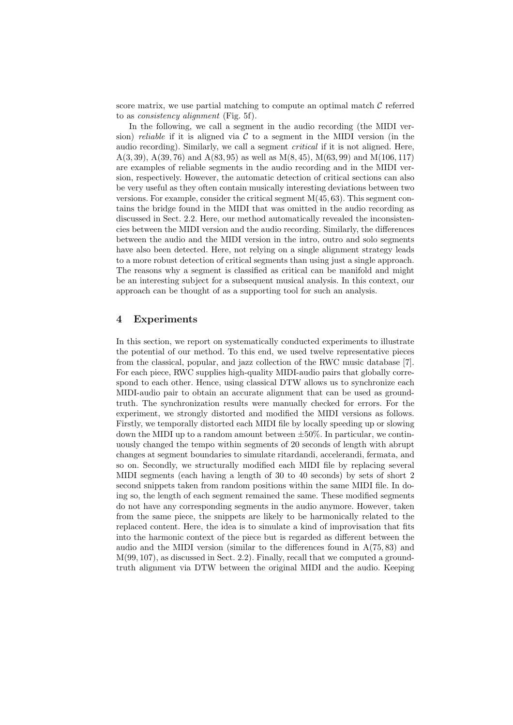score matrix, we use partial matching to compute an optimal match  $\mathcal C$  referred to as consistency alignment (Fig. 5f).

In the following, we call a segment in the audio recording (the MIDI version) reliable if it is aligned via  $\mathcal C$  to a segment in the MIDI version (in the audio recording). Similarly, we call a segment *critical* if it is not aligned. Here, A(3, 39), A(39, 76) and A(83, 95) as well as  $M(8, 45)$ ,  $M(63, 99)$  and  $M(106, 117)$ are examples of reliable segments in the audio recording and in the MIDI version, respectively. However, the automatic detection of critical sections can also be very useful as they often contain musically interesting deviations between two versions. For example, consider the critical segment  $M(45, 63)$ . This segment contains the bridge found in the MIDI that was omitted in the audio recording as discussed in Sect. 2.2. Here, our method automatically revealed the inconsistencies between the MIDI version and the audio recording. Similarly, the differences between the audio and the MIDI version in the intro, outro and solo segments have also been detected. Here, not relying on a single alignment strategy leads to a more robust detection of critical segments than using just a single approach. The reasons why a segment is classified as critical can be manifold and might be an interesting subject for a subsequent musical analysis. In this context, our approach can be thought of as a supporting tool for such an analysis.

### 4 Experiments

In this section, we report on systematically conducted experiments to illustrate the potential of our method. To this end, we used twelve representative pieces from the classical, popular, and jazz collection of the RWC music database [7]. For each piece, RWC supplies high-quality MIDI-audio pairs that globally correspond to each other. Hence, using classical DTW allows us to synchronize each MIDI-audio pair to obtain an accurate alignment that can be used as groundtruth. The synchronization results were manually checked for errors. For the experiment, we strongly distorted and modified the MIDI versions as follows. Firstly, we temporally distorted each MIDI file by locally speeding up or slowing down the MIDI up to a random amount between  $\pm 50\%$ . In particular, we continuously changed the tempo within segments of 20 seconds of length with abrupt changes at segment boundaries to simulate ritardandi, accelerandi, fermata, and so on. Secondly, we structurally modified each MIDI file by replacing several MIDI segments (each having a length of 30 to 40 seconds) by sets of short 2 second snippets taken from random positions within the same MIDI file. In doing so, the length of each segment remained the same. These modified segments do not have any corresponding segments in the audio anymore. However, taken from the same piece, the snippets are likely to be harmonically related to the replaced content. Here, the idea is to simulate a kind of improvisation that fits into the harmonic context of the piece but is regarded as different between the audio and the MIDI version (similar to the differences found in  $A(75, 83)$ ) and M(99, 107), as discussed in Sect. 2.2). Finally, recall that we computed a groundtruth alignment via DTW between the original MIDI and the audio. Keeping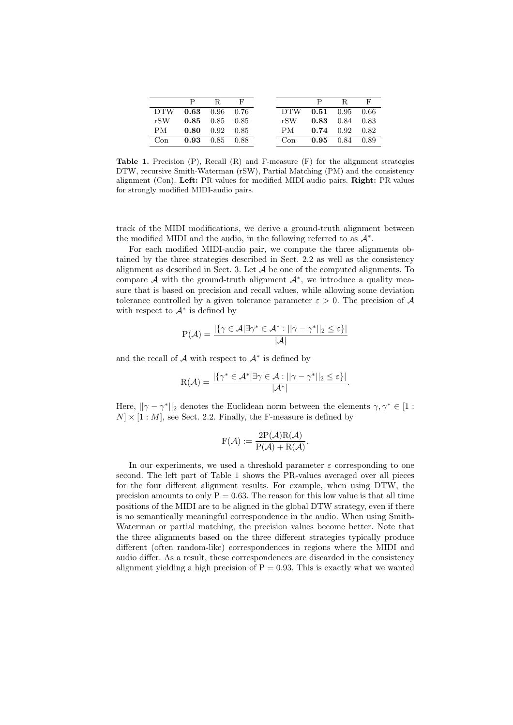|      |                              | P R F |      |                              | $\mathbf{R}$ |  |
|------|------------------------------|-------|------|------------------------------|--------------|--|
|      | DTW 0.63 0.96 0.76           |       |      | DTW 0.51 0.95 0.66           |              |  |
|      | $rSW$ 0.85 0.85 0.85         |       |      | $rSW$ 0.83 0.84 0.83         |              |  |
| PM — | $0.80 \quad 0.92 \quad 0.85$ |       | PM - | $0.74$ $0.92$ $0.82$         |              |  |
| Con  | $0.93$ $0.85$ $0.88$         |       | Con  | $0.95 \quad 0.84 \quad 0.89$ |              |  |

**Table 1.** Precision  $(P)$ , Recall  $(R)$  and F-measure  $(F)$  for the alignment strategies DTW, recursive Smith-Waterman (rSW), Partial Matching (PM) and the consistency alignment (Con). Left: PR-values for modified MIDI-audio pairs. Right: PR-values for strongly modified MIDI-audio pairs.

track of the MIDI modifications, we derive a ground-truth alignment between the modified MIDI and the audio, in the following referred to as  $\mathcal{A}^*$ .

For each modified MIDI-audio pair, we compute the three alignments obtained by the three strategies described in Sect. 2.2 as well as the consistency alignment as described in Sect. 3. Let  $A$  be one of the computed alignments. To compare  $A$  with the ground-truth alignment  $A^*$ , we introduce a quality measure that is based on precision and recall values, while allowing some deviation tolerance controlled by a given tolerance parameter  $\varepsilon > 0$ . The precision of A with respect to  $\mathcal{A}^*$  is defined by

$$
P(\mathcal{A}) = \frac{|\{\gamma \in \mathcal{A} | \exists \gamma^* \in \mathcal{A}^* : ||\gamma - \gamma^*||_2 \le \varepsilon\}|}{|\mathcal{A}|}
$$

and the recall of  $A$  with respect to  $A^*$  is defined by

$$
R(\mathcal{A}) = \frac{|\{\gamma^* \in \mathcal{A}^* | \exists \gamma \in \mathcal{A} : ||\gamma - \gamma^*||_2 \leq \varepsilon\}|}{|\mathcal{A}^*|}.
$$

Here,  $||\gamma - \gamma^*||_2$  denotes the Euclidean norm between the elements  $\gamma, \gamma^* \in [1 :$  $[N] \times [1 : M]$ , see Sect. 2.2. Finally, the F-measure is defined by

$$
F(\mathcal{A}) := \frac{2P(\mathcal{A})R(\mathcal{A})}{P(\mathcal{A}) + R(\mathcal{A})}.
$$

In our experiments, we used a threshold parameter  $\varepsilon$  corresponding to one second. The left part of Table 1 shows the PR-values averaged over all pieces for the four different alignment results. For example, when using DTW, the precision amounts to only  $P = 0.63$ . The reason for this low value is that all time positions of the MIDI are to be aligned in the global DTW strategy, even if there is no semantically meaningful correspondence in the audio. When using Smith-Waterman or partial matching, the precision values become better. Note that the three alignments based on the three different strategies typically produce different (often random-like) correspondences in regions where the MIDI and audio differ. As a result, these correspondences are discarded in the consistency alignment yielding a high precision of  $P = 0.93$ . This is exactly what we wanted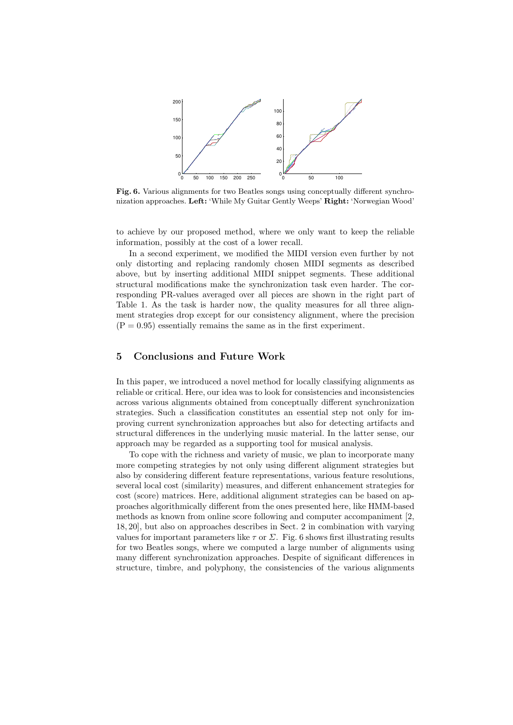

Fig. 6. Various alignments for two Beatles songs using conceptually different synchronization approaches. Left: 'While My Guitar Gently Weeps' Right: 'Norwegian Wood'

to achieve by our proposed method, where we only want to keep the reliable information, possibly at the cost of a lower recall.

In a second experiment, we modified the MIDI version even further by not only distorting and replacing randomly chosen MIDI segments as described above, but by inserting additional MIDI snippet segments. These additional structural modifications make the synchronization task even harder. The corresponding PR-values averaged over all pieces are shown in the right part of Table 1. As the task is harder now, the quality measures for all three alignment strategies drop except for our consistency alignment, where the precision  $(P = 0.95)$  essentially remains the same as in the first experiment.

# 5 Conclusions and Future Work

In this paper, we introduced a novel method for locally classifying alignments as reliable or critical. Here, our idea was to look for consistencies and inconsistencies across various alignments obtained from conceptually different synchronization strategies. Such a classification constitutes an essential step not only for improving current synchronization approaches but also for detecting artifacts and structural differences in the underlying music material. In the latter sense, our approach may be regarded as a supporting tool for musical analysis.

To cope with the richness and variety of music, we plan to incorporate many more competing strategies by not only using different alignment strategies but also by considering different feature representations, various feature resolutions, several local cost (similarity) measures, and different enhancement strategies for cost (score) matrices. Here, additional alignment strategies can be based on approaches algorithmically different from the ones presented here, like HMM-based methods as known from online score following and computer accompaniment [2, 18, 20], but also on approaches describes in Sect. 2 in combination with varying values for important parameters like  $\tau$  or  $\Sigma$ . Fig. 6 shows first illustrating results for two Beatles songs, where we computed a large number of alignments using many different synchronization approaches. Despite of significant differences in structure, timbre, and polyphony, the consistencies of the various alignments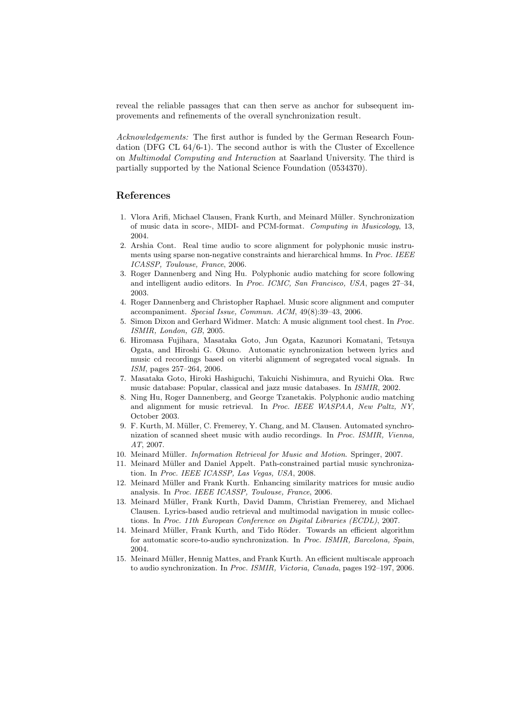reveal the reliable passages that can then serve as anchor for subsequent improvements and refinements of the overall synchronization result.

Acknowledgements: The first author is funded by the German Research Foundation (DFG CL 64/6-1). The second author is with the Cluster of Excellence on Multimodal Computing and Interaction at Saarland University. The third is partially supported by the National Science Foundation (0534370).

### References

- 1. Vlora Arifi, Michael Clausen, Frank Kurth, and Meinard M¨uller. Synchronization of music data in score-, MIDI- and PCM-format. Computing in Musicology, 13, 2004.
- 2. Arshia Cont. Real time audio to score alignment for polyphonic music instruments using sparse non-negative constraints and hierarchical hmms. In Proc. IEEE ICASSP, Toulouse, France, 2006.
- 3. Roger Dannenberg and Ning Hu. Polyphonic audio matching for score following and intelligent audio editors. In Proc. ICMC, San Francisco, USA, pages 27–34, 2003.
- 4. Roger Dannenberg and Christopher Raphael. Music score alignment and computer accompaniment. Special Issue, Commun. ACM, 49(8):39–43, 2006.
- 5. Simon Dixon and Gerhard Widmer. Match: A music alignment tool chest. In Proc. ISMIR, London, GB, 2005.
- 6. Hiromasa Fujihara, Masataka Goto, Jun Ogata, Kazunori Komatani, Tetsuya Ogata, and Hiroshi G. Okuno. Automatic synchronization between lyrics and music cd recordings based on viterbi alignment of segregated vocal signals. In ISM, pages 257–264, 2006.
- 7. Masataka Goto, Hiroki Hashiguchi, Takuichi Nishimura, and Ryuichi Oka. Rwc music database: Popular, classical and jazz music databases. In ISMIR, 2002.
- 8. Ning Hu, Roger Dannenberg, and George Tzanetakis. Polyphonic audio matching and alignment for music retrieval. In Proc. IEEE WASPAA, New Paltz, NY, October 2003.
- 9. F. Kurth, M. M¨uller, C. Fremerey, Y. Chang, and M. Clausen. Automated synchronization of scanned sheet music with audio recordings. In Proc. ISMIR, Vienna, AT, 2007.
- 10. Meinard Müller. *Information Retrieval for Music and Motion*. Springer, 2007.
- 11. Meinard Müller and Daniel Appelt. Path-constrained partial music synchronization. In Proc. IEEE ICASSP, Las Vegas, USA, 2008.
- 12. Meinard Müller and Frank Kurth. Enhancing similarity matrices for music audio analysis. In Proc. IEEE ICASSP, Toulouse, France, 2006.
- 13. Meinard Müller, Frank Kurth, David Damm, Christian Fremerey, and Michael Clausen. Lyrics-based audio retrieval and multimodal navigation in music collections. In Proc. 11th European Conference on Digital Libraries (ECDL), 2007.
- 14. Meinard Müller, Frank Kurth, and Tido Röder. Towards an efficient algorithm for automatic score-to-audio synchronization. In Proc. ISMIR, Barcelona, Spain, 2004.
- 15. Meinard Müller, Hennig Mattes, and Frank Kurth. An efficient multiscale approach to audio synchronization. In Proc. ISMIR, Victoria, Canada, pages 192–197, 2006.